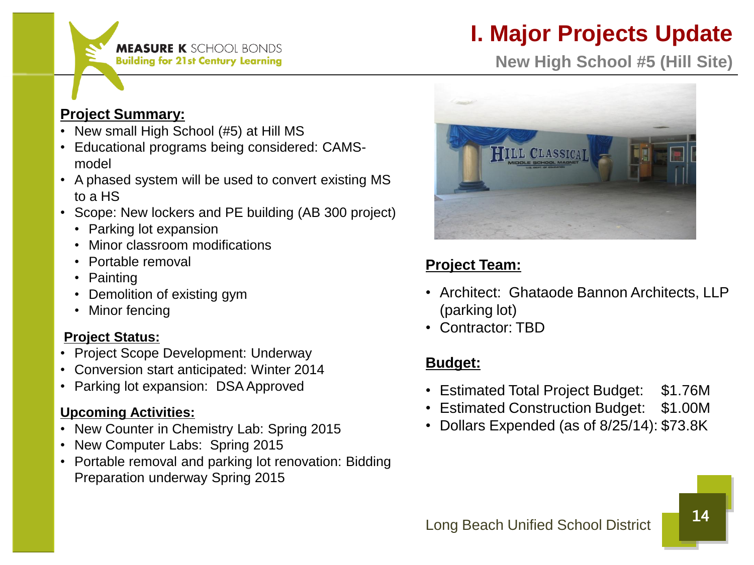

# **I. Major Projects Update**

**New High School #5 (Hill Site)**

## **Project Summary:**

- New small High School (#5) at Hill MS
- Educational programs being considered: CAMSmodel
- A phased system will be used to convert existing MS to a HS
- Scope: New lockers and PE building (AB 300 project)
	- Parking lot expansion
	- Minor classroom modifications
	- Portable removal
	- Painting
	- Demolition of existing gym
	- Minor fencing

# **Project Status:**

- Project Scope Development: Underway
- Conversion start anticipated: Winter 2014
- Parking lot expansion: DSA Approved

# **Upcoming Activities:**

- New Counter in Chemistry Lab: Spring 2015
- New Computer Labs: Spring 2015
- Portable removal and parking lot renovation: Bidding Preparation underway Spring 2015



# **Project Team:**

- Architect: Ghataode Bannon Architects, LLP (parking lot)
- Contractor: TBD

# **Budget:**

- Estimated Total Project Budget: \$1.76M
- Estimated Construction Budget: \$1.00M
- Dollars Expended (as of 8/25/14): \$73.8K